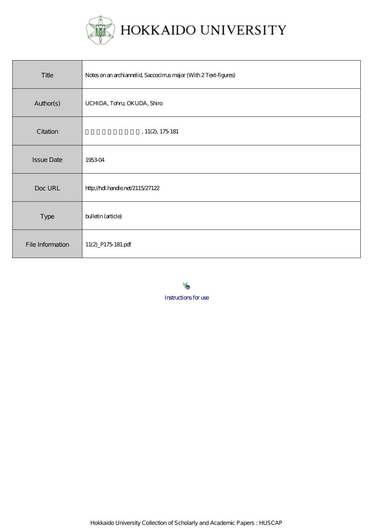

| Title             | Notes on an archiannelid, Saccocinus major (With 2 Text-figures) |
|-------------------|------------------------------------------------------------------|
| Author(s)         | UCHIDA, Tohru; OKUDA, Shiro                                      |
| Citation          | , 11(2), 175181                                                  |
| <b>Issue Date</b> | 195304                                                           |
| Doc URL           | http://hdl.handle.net/2115/27122                                 |
| Type              | bulletin (article)                                               |
| File Information  | 11(2)_P175 181.pdf                                               |

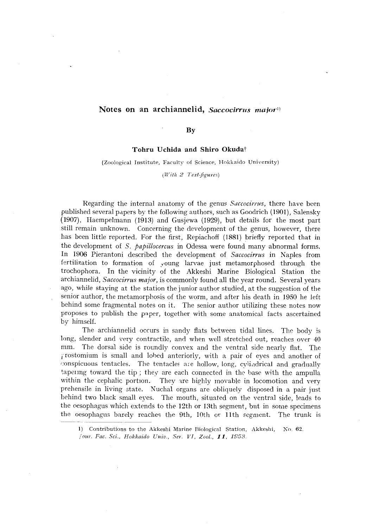# Notes on an archiannelid, Saccocirrus major<sup>1)</sup>

# By

# Tohru Uchida and Shiro Okudat

### (Zoological Institute, Faculty of Science, Hokkaido University)

*(With* 2 *Text-figures)* 

Regarding the internal anatomy of the genus *Saccocirrus*, there have been published several papers by the following authors, such as Goodrich (1901), Salensky (1907). Haempelmann (1913) and Gusjewa (1929), but details for the most part still remain unknown. Concerning the development of the genus, however, there has been little reported. For the first, Repiachoff (1881) briefly reported that in the development of *S. papillocercus* in Odessa were found many abnormal forms. In 1906 Pierantoni described the development of *Saccocirrus* in Naples from fertilization to formation of young larvae just metamorphosed through the trochophora. In the vicinity of the Akkeshi Marine Biological Station the archiannelid, *Saccocirrus major,* is commonly found all the year round. Several years ago, while staying at the station the junior author studied, at the suggestion of the senior author, the metamorphosis of the worm, and after his death in 1950 he left behind some fragmental notes on it. The senior author utilizing these notes now proposes to publish the paper, together with some anatomical facts ascertained by himself.

The archiannelid occurs in sandy flats between tidal lines. The body is long, slender and very contractile, and when well stretched out, reaches over 40 mm. The dorsal side is roundly convex and the ventral side nearly flat. The j'rostomium is small and lohed anteriorly, with a pair of eyes and another of conspicuous tentacles. The tentacles are hollow, long, cylindrical and gradually tapering toward the tip; they are each connected in the base with the ampulla within the cephalic portion. They are highly movable in locomotion and very prehensile in living state. Nuchal organs are obliquely disposed in a pair just behind two black small eyes. The mouth, situated on the ventral side, leads to the oesophagus which extends to the  $12th$  or  $13th$  segment, but in some specimens the oesophagus which extends to the 12th or 13th segment, but in some specimens<br>the oesophagus barely reaches the 9th, 10th or 11th segment. The trunk is<br>the contribution of the U.S. is the Contribution of the Contribution

I) Contributions to the Akkeshi Marine Biological Station, Akkeshi, Ko. 62. /0111'. *Fac. Sci., Hokkaido Univ., Ser. VI, Zool.,* 11, .1958.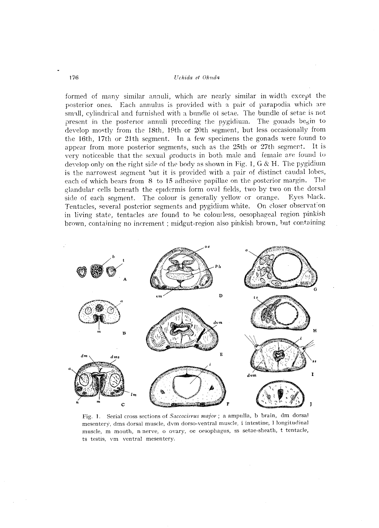#### 176 *Uchida et Okuda*

formed of many similar annuli, which are nearly similar in width excepi the posterior ones. Each annulus is provided with a pair of parapodia which are small, cylindrical and furnished with a bundle of setae. The bundle of setae is not present in the posterior annuli preceding the pygidium. The gonads begin to develop mostly from the 18th, 19th or 20th segment, but less occasionally from the 16th, 17th or 21th segment. In a few specimens the gonads were found to appear from more posterior segments, such as the 25th or 27th segmept. It is very noticeable that the sexual products in both male and female are found to develop only on the right side of the body as shown in Fig. 1, G & H. The pygidium is the narrowest segment but it is provided with a pair of distinct caudal lobes, each of which bears from 8 to 15 adhesive papillae on the posterior margin. The elandular cells beneath the epidermis form oval fields, two by two on the dorsal side of each segment. The colour is generally yellow or orange. Eyes hlack. Tentacles, several posterior segments and pygidium white. On closer observation in living state, tentacles are found to be colourless, oesophageal region pinkish brown, containing no increment; midgut-region also pinkish brown, but containing



Fig. 1. Serial cross sections of *Saccocirrus major;* a ampulla, b brain, dm dorsal mesentery, dms dorsal muscle, dvm dorsa-ventral muscle, i intestine, I longitudinal muscle, m mouth, n nerve, o ovary, oe oesophagus, ss setae-sheath, t tentacle, ts testis, vm ventral mesentery.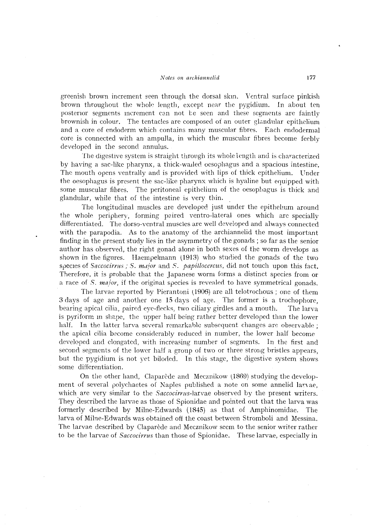### *Noles on archiannelid* 177

greenish brown increment seen through the dorsal skin. Ventral surface pinkish brown throughout the whole length, except near the pygidium. In about ten posterior segments increment can not be seen and these segments are faintly brownish in colour. The tentacles are composed ot an outer glandular epithelium and a core of endoderm which contains many muscular fibres. Each endodermal core is connected with an ampulla, in which the muscular fibres become feebly developed in the second annulus.

The digestive system is straight through its whole length and is characterized by having a sac-like pharynx, a thick-walled oesophagus and a spacious intestine. The mouth opens ventrally and is provided with lips of thick epithelium. Vnder the oesophagus is present the sac-like pharynx which is hyaline but equipped with some muscular fibres. The peritoneal epithelium of the oesopbagus is thick and glandular, while that of the intestine is very thin.

The longitudinal muscles are developed just under the epithelum around the whole periphery, forming poired ventra-lateral ones which arc specially differentiated. The dorso-ventral muscles are well developed and always connected with the parapodia. As to the anatomy of the archiannelid the most important finding in the present study lies in the asymmetry of the gonads; so far as the senior author has observed, the right gonad alone in both sexes of the worm develops as shown in the figures. Haempelmann \1913) who studied the gonads of the two species of *Saccocirrus; S. major* and *S. papillocercus*, did not touch upon this fact. Therefore, it is probable that the Japanese worm forms a distinct species from or a race of *S. maJor,* if the original species is revealed to have symmetrical gonads.

The larvae reported by Pierantoni \1906) are all telotrochous ; one of them 3 days of age and another one **15** days of age. The former is a trochophore, bearing apical cilia, paired eye-flecks, two ciliary girdles and a mouth. The larva is pyriform in shape, the upper half being rather better developed than the lower half. In the latter larva several remarkable subsequent changes are observable; the apical cilia become considerably reduced in number, the lower half become developed and elongated, with increasing number of segments. In the first and second segments of the lower half a group of two or three strong bristles appears, but the pygidium is not yet biloded. In this stage, the digestive system shows some differentiation.

On the other hand, Claparède and Mecznikow  $(1869)$  studying the development of several polychaetes of Naples published a note on some annelid larvae, which are very similar to the *Saccocirrus*-larvae observed by the present writers. They described the larvae as those of Spionidae and pointed out that the larva was formerly described by Milne-Edwards (1845) as that of Amphinomidae. The larva of Milne-Edwards was obtained off the coast between Stromboli and Messina. The larvae described by Claparède and Mecznikow seem to the senior writer rather to be the larvae of *Saccocirrus* than those of Spionidae. These larvae, especially in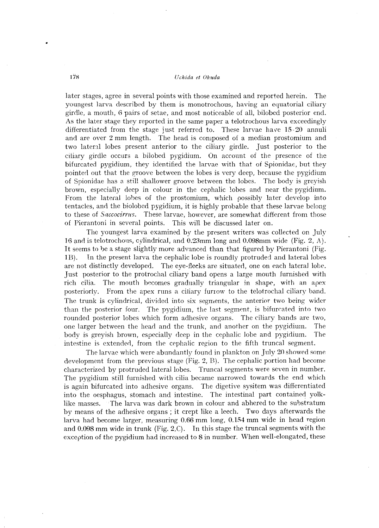## 178 *Uchida et Okuda*

later stages, agree in several points with those examined and reported herein. The youngest larva described by them is monotrochous, having an equatorial ciliary girdle, a mouth, 6 pairs of setae, and most noticeable of all, bilobed posterior end. As the later stage they reported in the same paper a telotrochous larva exceedingly differentiated from the stage just referred to. These larvae have  $15 - 20$  annuli and are over 2 mm length. The head is composed of a median prostomium and two latenl lobes present anterior to the ciliary girdle. Just posterior to the ciliary girdle occurs a bilobed pygidium. On account of the presence of the bifurcated pygidium, they identified the larvae with that of Spionidac, but they pointed out that the groove between the lobes is very deep, because the pygidium of Spionidae has a still shallower groove between the lobes. The body is greyish brown, especially deep in colour in the cephalic lobes and near the pygidium. From the lateral lohes of the prostomium, which possibly later develop into tentacles, and the biolobed pygidium, it is highly probable that these larvae belong to these of *Saccocirrus*. These larvae, however, are somewhat different from those of Pierantoni in several points. This will be discussed later on.

The youngest larva examined by the present writers was collected on July 16 amI is telotrocholls, cylindrical, and 0.23mm long and 0.098mm wide (Fig. 2, A). It seems to he a stage slightly more advanced than that figured by Pierantoni (Fig. 1B). In the present larva the cephalic lobe is roundly protruded and lateral lobes are not distinctly developed. The eye-flecks are situated, one on each lateral lobe. Just posterior to the protrochal ciliary band opens a large mouth furnished with rich cilia. The mouth becomes gradually triangular in shape, with an apex posteriorly. From the apex runs a ciliary furrow to the telotrochal ciliary band. The trunk is cylindrical, divided into six segments, the anterior two being wider than the posterior four. The pygidium, the last segment, is bifurcated into two rounded posterior lobes which form adhesive organs. The ciliary bands are two, one larger between the head and the trunk, and another on the pygidium. The body is greyish brown, especially deep in the cephalic lobe and pygidium. The intestine is extended, from the cephalic region to the fifth truncal segment.

The larvae which were abundantly found in plankton on July 20 showed some development from the previous stage (Fig. 2, B). The cephalic portion had become characterized by protruded lateral lobes. Truncal segments were seven in number. The pygidium still furnished with cilia became narrowed towards the end which is again bifurcated into adhesive organs. The digetive sysitem was differentiated into the oesphagus, stomach and intestine. The intestinal part contained yolklike masses. The larva was dark brown in colour and abhered to the substratum by means of the adhesive organs; it crept like a leech. Two days afterwards the larva had become larger, measuring 0.66 mm long, 0.154 mm wide in head region and 0.098 mm wide in trunk (Fig. 2,C). Tn this stage the truncal segments with the exception of the pygidium had increased to 8 in number. When well-elongated, these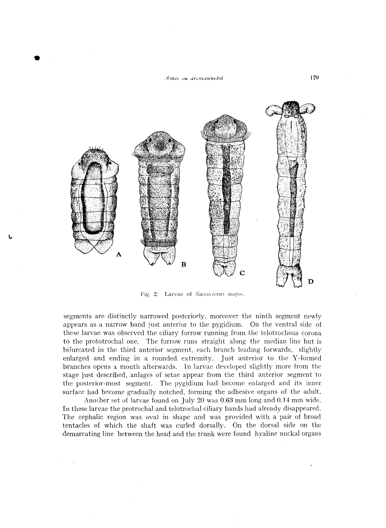

•



Fig. 2. Larvae of *Saccotirrus major*,

segments are distinctly narrowed posteriorly, moreover the ninth segment newly appears as a narrow band just anterior to the pygidium. On the ventral side of these larvae was observed the ciliary furrow running from the telotrochous corona to the prototrochal one. The furrow runs straight along the median line but is hifurcated in the third anterior segment, each branch leading forwards, slightly enlarged and ending in a rounded extremity. Just anterior to the V-formed branches opens a mouth afterwards. In larvae developed slightly more from the stage just described, anlages of setae appear from the third anterior segment to the posterior-most segment. The pygidium had become enlarged and its inner surface had become gradually notched, forming the adhesive organs of the adult.

Another set of larvae found on July 20 was 0.63 mm long and 0.14 mm wide. In these larvae the protrochal and telotrochal ciliary bands had already disappeared. The cephalic region was oval in shape and was provided with a pair of broad tentacles of which the shaft was curled dorsally. On the dorsal side on the demarcating line between the head and the trunk were found hyaline nuckal organs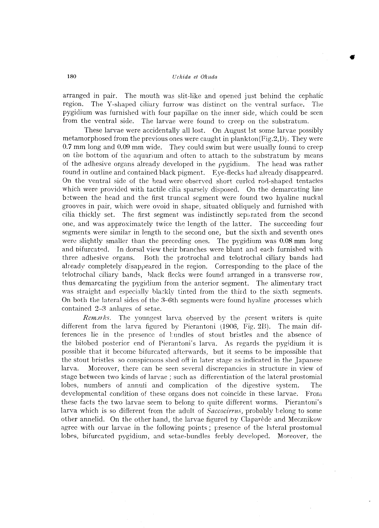•

arranged in pair. The mouth was slit-like and opened just behind the cephalic region. The Y -shaped ciliary furrow was distinct on the ventral surface. The pygidium was furnished with four papillae on the inner side, which could be seen from the ventral side. The larvae were found to creep on the substratum.

These larvae were accidentally all lost. On August 1st some larvae possibly metamorphosed from the previous ones were caught in plankton(Fig.2,D). They were **0.7** mm long and **0.09** mm wide. They could swim but were usually found to creep on the bottom of the aquarium and often to attach to the substratum by means of the adhesive organs already developed in the pygidium. The head was rather round in outline and contained black pigment. Eye-flecks had already disappeared. On the ventral side of the head were observed short curled rorl-shaped tentacles which were provided with tactile cilia sparsely disposed. On the demarcating line between the head and the first truncal segment were found two hyaline nudal grooves in pair, which were ovoid in shape, situated obliquely and furnished with cilia thickly set. The first segment was indistinctly separated from the second one, and was approximately twice the length of the latter. The succeeding four segments were similar in length to the second one, but the sixth and seventh ones were slightly smaller than the preceding ones. The pygidium was 0.08 mm long and bifurcated. In dorsal view their branches were blunt and each furnished with three adhesive organs. Both the protrochal and telotrochal ciliary bands had already completely disappeared in the region. Corresponding to the place of the telotrochal ciliary bands, black flecks were found arranged in a transverse row, thus demarcating the pygidium from the anterior segment. The alimentary tract was straight and especially blackly tinted from the third to the sixth segments. On both the lateral sides of the  $3-6$ th segments were found hyaline processes which contained 2-3 anlages of setae.

Remarks. The youngest larva observed by the present writers is quite different from the larva figured by Pierantoni \1906, Fig. 213). The main differences lie in the presence of bundles of stout bristles and the absence of the bilobed posterior end of Pierantoni's larva. As regards the pygidium it is possible that it become bifurcated afterwards, but it seems to be impossible that the stout bristles so conspicuous shed off in later stage as indicated in the Japanese larva. Moreover, there can be seen several discrepancies in structure in view of stage between two kinds of larvae; such as differentiation of the lateral prostomial lobes, numbers of annuli and complication of the digestive system. The developmental condition of these organs does not coincide in these larvae. From these facts the two larvae seem to belong to quite different worms. Pierantoni's larva which is so different from the adult of Saccocirrus, probably belong to some other annelid. On the other hand, the larvae figured by Claparède and Mecznikow agree with our larvae in the following points; presence of the lateral prostomial lobes, bifurcated pygidium, and setae-bundles feebly developed. Moreover, the